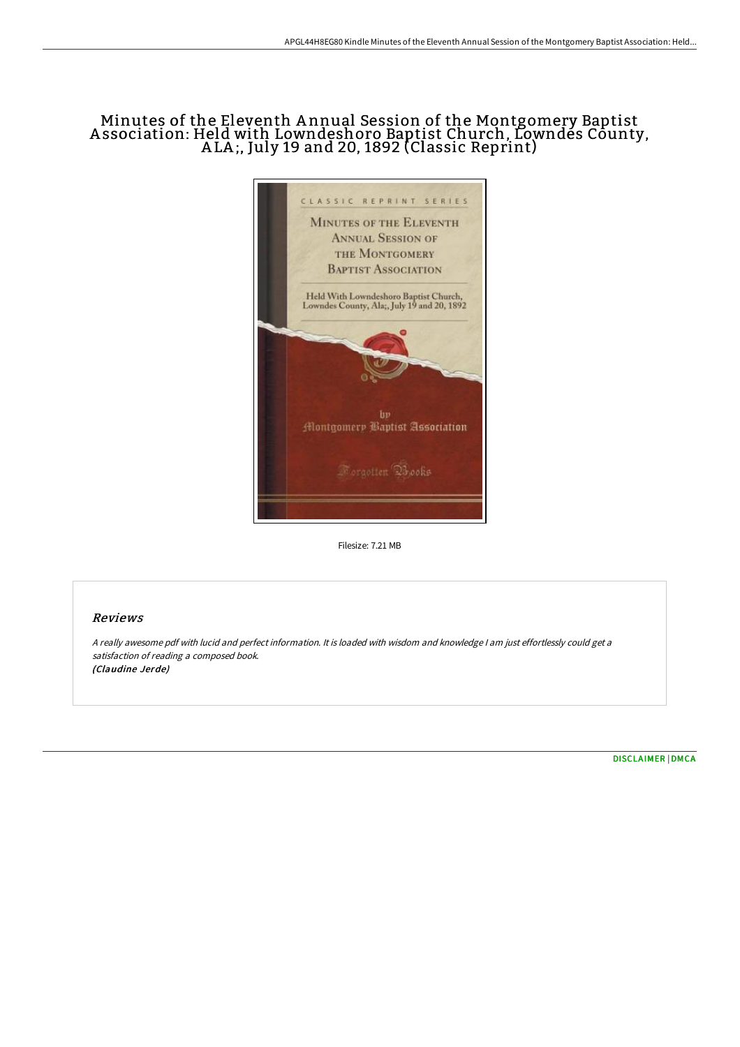# Minutes of the Eleventh A nnual Session of the Montgomery Baptist A ssociation: Held with Lowndeshoro Baptist Church, Lowndes County, A LA ;, July 19 and 20, 1892 (Classic Reprint)



Filesize: 7.21 MB

## Reviews

<sup>A</sup> really awesome pdf with lucid and perfect information. It is loaded with wisdom and knowledge <sup>I</sup> am just effortlessly could get <sup>a</sup> satisfaction of reading <sup>a</sup> composed book. (Claudine Jerde)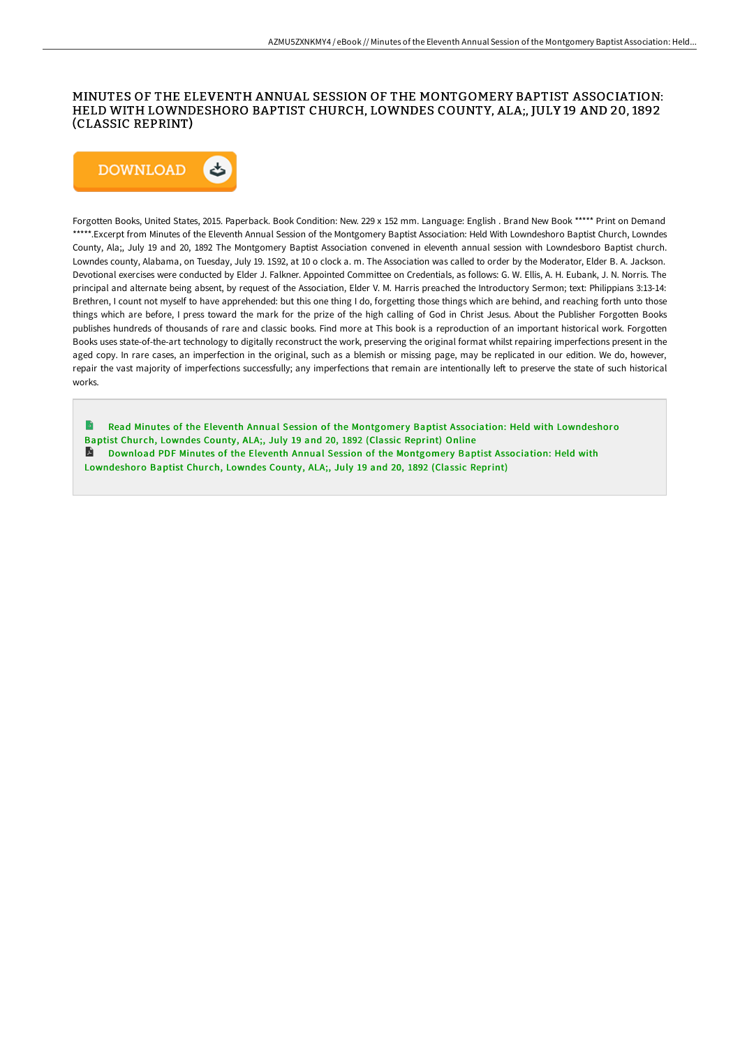### MINUTES OF THE ELEVENTH ANNUAL SESSION OF THE MONTGOMERY BAPTIST ASSOCIATION: HELD WITH LOWNDESHORO BAPTIST CHURCH, LOWNDES COUNTY, ALA;, JULY 19 AND 20, 1892 (CLASSIC REPRINT)



Forgotten Books, United States, 2015. Paperback. Book Condition: New. 229 x 152 mm. Language: English . Brand New Book \*\*\*\*\* Print on Demand \*\*\*\*\*.Excerpt from Minutes of the Eleventh Annual Session of the Montgomery Baptist Association: Held With Lowndeshoro Baptist Church, Lowndes County, Ala;, July 19 and 20, 1892 The Montgomery Baptist Association convened in eleventh annual session with Lowndesboro Baptist church. Lowndes county, Alabama, on Tuesday, July 19. 1S92, at 10 o clock a. m. The Association was called to order by the Moderator, Elder B. A. Jackson. Devotional exercises were conducted by Elder J. Falkner. Appointed Committee on Credentials, as follows: G. W. Ellis, A. H. Eubank, J. N. Norris. The principal and alternate being absent, by request of the Association, Elder V. M. Harris preached the Introductory Sermon; text: Philippians 3:13-14: Brethren, I count not myself to have apprehended: but this one thing I do, forgetting those things which are behind, and reaching forth unto those things which are before, I press toward the mark for the prize of the high calling of God in Christ Jesus. About the Publisher Forgotten Books publishes hundreds of thousands of rare and classic books. Find more at This book is a reproduction of an important historical work. Forgotten Books uses state-of-the-art technology to digitally reconstruct the work, preserving the original format whilst repairing imperfections present in the aged copy. In rare cases, an imperfection in the original, such as a blemish or missing page, may be replicated in our edition. We do, however, repair the vast majority of imperfections successfully; any imperfections that remain are intentionally left to preserve the state of such historical works.

 $\rightarrow$ Read Minutes of the Eleventh Annual Session of the Montgomery Baptist Association: Held with [Lowndeshoro](http://www.bookdirs.com/minutes-of-the-eleventh-annual-session-of-the-mo.html) Baptist Church, Lowndes County, ALA;, July 19 and 20, 1892 (Classic Reprint) Online A Download PDF Minutes of the Eleventh Annual Session of the Montgomery Baptist Association: Held with [Lowndeshoro](http://www.bookdirs.com/minutes-of-the-eleventh-annual-session-of-the-mo.html) Baptist Church, Lowndes County, ALA;, July 19 and 20, 1892 (Classic Reprint)